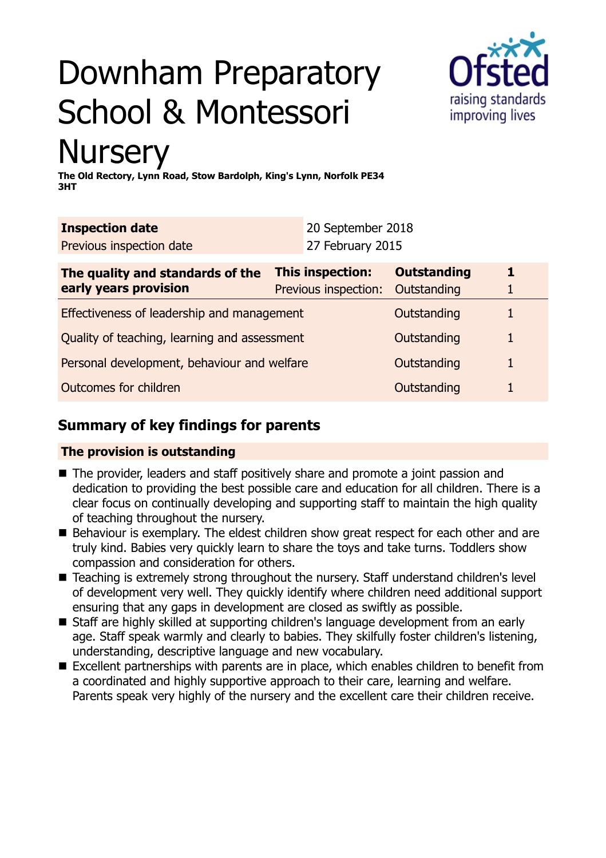# Downham Preparatory School & Montessori



## **Nursery**

**The Old Rectory, Lynn Road, Stow Bardolph, King's Lynn, Norfolk PE34 3HT**

| <b>Inspection date</b>   | 20 September 2018 |
|--------------------------|-------------------|
| Previous inspection date | 27 February 2015  |

| The quality and standards of the<br>early years provision | This inspection:<br>Previous inspection: | <b>Outstanding</b><br>Outstanding |  |
|-----------------------------------------------------------|------------------------------------------|-----------------------------------|--|
| Effectiveness of leadership and management                |                                          | Outstanding                       |  |
| Quality of teaching, learning and assessment              |                                          | Outstanding                       |  |
| Personal development, behaviour and welfare               |                                          | Outstanding                       |  |
| Outcomes for children                                     |                                          | Outstanding                       |  |

## **Summary of key findings for parents**

## **The provision is outstanding**

- The provider, leaders and staff positively share and promote a joint passion and dedication to providing the best possible care and education for all children. There is a clear focus on continually developing and supporting staff to maintain the high quality of teaching throughout the nursery.
- Behaviour is exemplary. The eldest children show great respect for each other and are truly kind. Babies very quickly learn to share the toys and take turns. Toddlers show compassion and consideration for others.
- Teaching is extremely strong throughout the nursery. Staff understand children's level of development very well. They quickly identify where children need additional support ensuring that any gaps in development are closed as swiftly as possible.
- Staff are highly skilled at supporting children's language development from an early age. Staff speak warmly and clearly to babies. They skilfully foster children's listening, understanding, descriptive language and new vocabulary.
- Excellent partnerships with parents are in place, which enables children to benefit from a coordinated and highly supportive approach to their care, learning and welfare. Parents speak very highly of the nursery and the excellent care their children receive.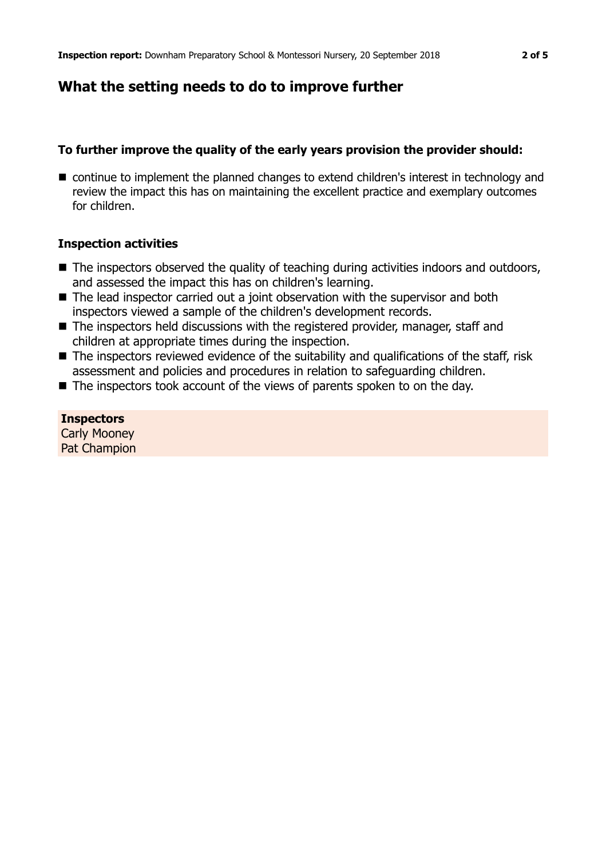## **What the setting needs to do to improve further**

### **To further improve the quality of the early years provision the provider should:**

■ continue to implement the planned changes to extend children's interest in technology and review the impact this has on maintaining the excellent practice and exemplary outcomes for children.

#### **Inspection activities**

- The inspectors observed the quality of teaching during activities indoors and outdoors, and assessed the impact this has on children's learning.
- $\blacksquare$  The lead inspector carried out a joint observation with the supervisor and both inspectors viewed a sample of the children's development records.
- $\blacksquare$  The inspectors held discussions with the registered provider, manager, staff and children at appropriate times during the inspection.
- $\blacksquare$  The inspectors reviewed evidence of the suitability and qualifications of the staff, risk assessment and policies and procedures in relation to safeguarding children.
- $\blacksquare$  The inspectors took account of the views of parents spoken to on the day.

**Inspectors** Carly Mooney Pat Champion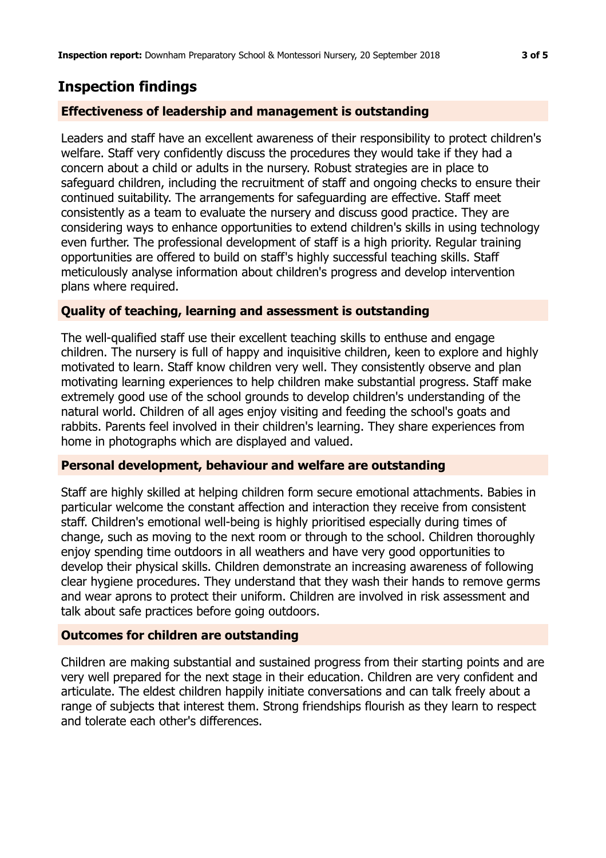## **Inspection findings**

### **Effectiveness of leadership and management is outstanding**

Leaders and staff have an excellent awareness of their responsibility to protect children's welfare. Staff very confidently discuss the procedures they would take if they had a concern about a child or adults in the nursery. Robust strategies are in place to safeguard children, including the recruitment of staff and ongoing checks to ensure their continued suitability. The arrangements for safeguarding are effective. Staff meet consistently as a team to evaluate the nursery and discuss good practice. They are considering ways to enhance opportunities to extend children's skills in using technology even further. The professional development of staff is a high priority. Regular training opportunities are offered to build on staff's highly successful teaching skills. Staff meticulously analyse information about children's progress and develop intervention plans where required.

#### **Quality of teaching, learning and assessment is outstanding**

The well-qualified staff use their excellent teaching skills to enthuse and engage children. The nursery is full of happy and inquisitive children, keen to explore and highly motivated to learn. Staff know children very well. They consistently observe and plan motivating learning experiences to help children make substantial progress. Staff make extremely good use of the school grounds to develop children's understanding of the natural world. Children of all ages enjoy visiting and feeding the school's goats and rabbits. Parents feel involved in their children's learning. They share experiences from home in photographs which are displayed and valued.

#### **Personal development, behaviour and welfare are outstanding**

Staff are highly skilled at helping children form secure emotional attachments. Babies in particular welcome the constant affection and interaction they receive from consistent staff. Children's emotional well-being is highly prioritised especially during times of change, such as moving to the next room or through to the school. Children thoroughly enjoy spending time outdoors in all weathers and have very good opportunities to develop their physical skills. Children demonstrate an increasing awareness of following clear hygiene procedures. They understand that they wash their hands to remove germs and wear aprons to protect their uniform. Children are involved in risk assessment and talk about safe practices before going outdoors.

#### **Outcomes for children are outstanding**

Children are making substantial and sustained progress from their starting points and are very well prepared for the next stage in their education. Children are very confident and articulate. The eldest children happily initiate conversations and can talk freely about a range of subjects that interest them. Strong friendships flourish as they learn to respect and tolerate each other's differences.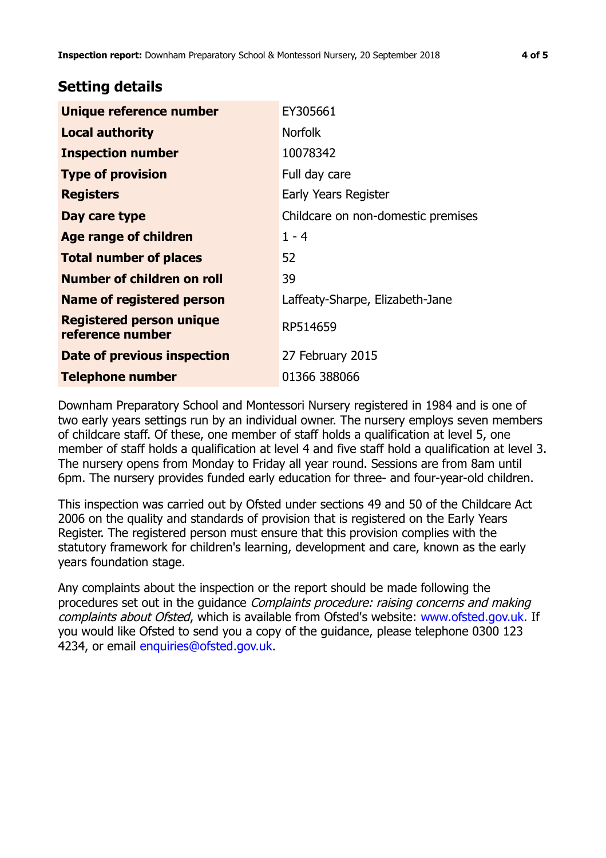## **Setting details**

| <b>Unique reference number</b>                      | EY305661                           |
|-----------------------------------------------------|------------------------------------|
| <b>Local authority</b>                              | <b>Norfolk</b>                     |
| <b>Inspection number</b>                            | 10078342                           |
| <b>Type of provision</b>                            | Full day care                      |
| <b>Registers</b>                                    | Early Years Register               |
| Day care type                                       | Childcare on non-domestic premises |
| Age range of children                               | $1 - 4$                            |
| <b>Total number of places</b>                       | 52                                 |
| Number of children on roll                          | 39                                 |
| <b>Name of registered person</b>                    | Laffeaty-Sharpe, Elizabeth-Jane    |
| <b>Registered person unique</b><br>reference number | RP514659                           |
| Date of previous inspection                         | 27 February 2015                   |
| <b>Telephone number</b>                             | 01366 388066                       |

Downham Preparatory School and Montessori Nursery registered in 1984 and is one of two early years settings run by an individual owner. The nursery employs seven members of childcare staff. Of these, one member of staff holds a qualification at level 5, one member of staff holds a qualification at level 4 and five staff hold a qualification at level 3. The nursery opens from Monday to Friday all year round. Sessions are from 8am until 6pm. The nursery provides funded early education for three- and four-year-old children.

This inspection was carried out by Ofsted under sections 49 and 50 of the Childcare Act 2006 on the quality and standards of provision that is registered on the Early Years Register. The registered person must ensure that this provision complies with the statutory framework for children's learning, development and care, known as the early years foundation stage.

Any complaints about the inspection or the report should be made following the procedures set out in the guidance Complaints procedure: raising concerns and making complaints about Ofsted, which is available from Ofsted's website: www.ofsted.gov.uk. If you would like Ofsted to send you a copy of the guidance, please telephone 0300 123 4234, or email [enquiries@ofsted.gov.uk.](mailto:enquiries@ofsted.gov.uk)